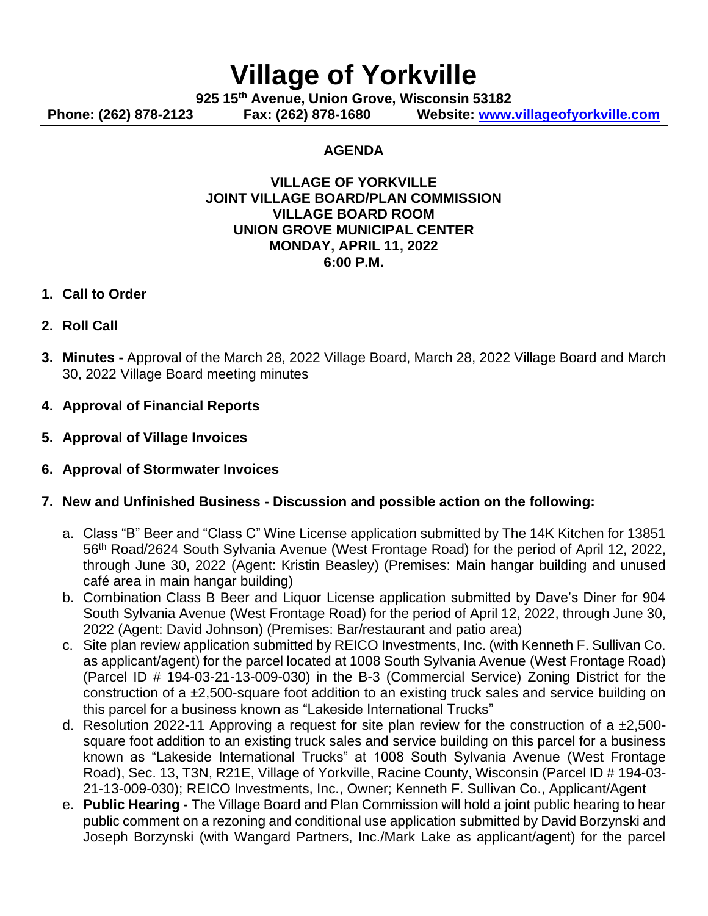# **Village of Yorkville**

**925 15th Avenue, Union Grove, Wisconsin 53182**

**Phone: (262) 878-2123 Fax: (262) 878-1680 Website: [www.villageofyorkville.com](http://www.villageofyorkville.com/)**

### **AGENDA**

#### **VILLAGE OF YORKVILLE JOINT VILLAGE BOARD/PLAN COMMISSION VILLAGE BOARD ROOM UNION GROVE MUNICIPAL CENTER MONDAY, APRIL 11, 2022 6:00 P.M.**

- **1. Call to Order**
- **2. Roll Call**
- **3. Minutes -** Approval of the March 28, 2022 Village Board, March 28, 2022 Village Board and March 30, 2022 Village Board meeting minutes
- **4. Approval of Financial Reports**
- **5. Approval of Village Invoices**
- **6. Approval of Stormwater Invoices**
- **7. New and Unfinished Business - Discussion and possible action on the following:**
	- a. Class "B" Beer and "Class C" Wine License application submitted by The 14K Kitchen for 13851 56th Road/2624 South Sylvania Avenue (West Frontage Road) for the period of April 12, 2022, through June 30, 2022 (Agent: Kristin Beasley) (Premises: Main hangar building and unused café area in main hangar building)
	- b. Combination Class B Beer and Liquor License application submitted by Dave's Diner for 904 South Sylvania Avenue (West Frontage Road) for the period of April 12, 2022, through June 30, 2022 (Agent: David Johnson) (Premises: Bar/restaurant and patio area)
	- c. Site plan review application submitted by REICO Investments, Inc. (with Kenneth F. Sullivan Co. as applicant/agent) for the parcel located at 1008 South Sylvania Avenue (West Frontage Road) (Parcel ID # 194-03-21-13-009-030) in the B-3 (Commercial Service) Zoning District for the construction of a ±2,500-square foot addition to an existing truck sales and service building on this parcel for a business known as "Lakeside International Trucks"
	- d. Resolution 2022-11 Approving a request for site plan review for the construction of a  $\pm 2,500$ square foot addition to an existing truck sales and service building on this parcel for a business known as "Lakeside International Trucks" at 1008 South Sylvania Avenue (West Frontage Road), Sec. 13, T3N, R21E, Village of Yorkville, Racine County, Wisconsin (Parcel ID # 194-03- 21-13-009-030); REICO Investments, Inc., Owner; Kenneth F. Sullivan Co., Applicant/Agent
	- e. **Public Hearing -** The Village Board and Plan Commission will hold a joint public hearing to hear public comment on a rezoning and conditional use application submitted by David Borzynski and Joseph Borzynski (with Wangard Partners, Inc./Mark Lake as applicant/agent) for the parcel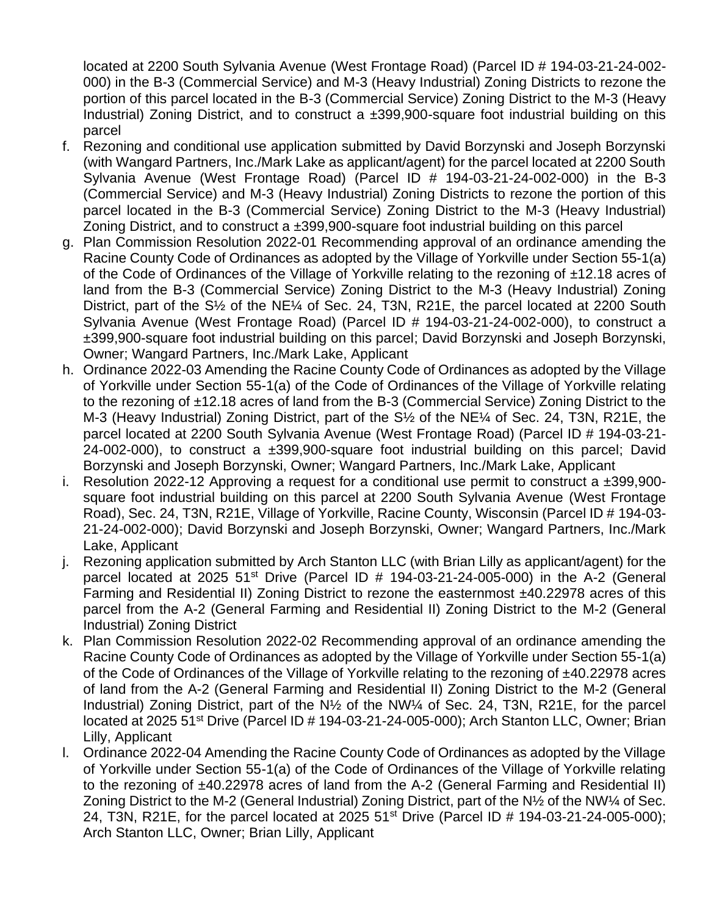located at 2200 South Sylvania Avenue (West Frontage Road) (Parcel ID # 194-03-21-24-002- 000) in the B-3 (Commercial Service) and M-3 (Heavy Industrial) Zoning Districts to rezone the portion of this parcel located in the B-3 (Commercial Service) Zoning District to the M-3 (Heavy Industrial) Zoning District, and to construct a ±399,900-square foot industrial building on this parcel

- f. Rezoning and conditional use application submitted by David Borzynski and Joseph Borzynski (with Wangard Partners, Inc./Mark Lake as applicant/agent) for the parcel located at 2200 South Sylvania Avenue (West Frontage Road) (Parcel ID # 194-03-21-24-002-000) in the B-3 (Commercial Service) and M-3 (Heavy Industrial) Zoning Districts to rezone the portion of this parcel located in the B-3 (Commercial Service) Zoning District to the M-3 (Heavy Industrial) Zoning District, and to construct a ±399,900-square foot industrial building on this parcel
- g. Plan Commission Resolution 2022-01 Recommending approval of an ordinance amending the Racine County Code of Ordinances as adopted by the Village of Yorkville under Section 55-1(a) of the Code of Ordinances of the Village of Yorkville relating to the rezoning of ±12.18 acres of land from the B-3 (Commercial Service) Zoning District to the M-3 (Heavy Industrial) Zoning District, part of the S½ of the NE¼ of Sec. 24, T3N, R21E, the parcel located at 2200 South Sylvania Avenue (West Frontage Road) (Parcel ID # 194-03-21-24-002-000), to construct a ±399,900-square foot industrial building on this parcel; David Borzynski and Joseph Borzynski, Owner; Wangard Partners, Inc./Mark Lake, Applicant
- h. Ordinance 2022-03 Amending the Racine County Code of Ordinances as adopted by the Village of Yorkville under Section 55-1(a) of the Code of Ordinances of the Village of Yorkville relating to the rezoning of ±12.18 acres of land from the B-3 (Commercial Service) Zoning District to the M-3 (Heavy Industrial) Zoning District, part of the S½ of the NE¼ of Sec. 24, T3N, R21E, the parcel located at 2200 South Sylvania Avenue (West Frontage Road) (Parcel ID # 194-03-21- 24-002-000), to construct a ±399,900-square foot industrial building on this parcel; David Borzynski and Joseph Borzynski, Owner; Wangard Partners, Inc./Mark Lake, Applicant
- i. Resolution 2022-12 Approving a request for a conditional use permit to construct a  $\pm 399,900$ square foot industrial building on this parcel at 2200 South Sylvania Avenue (West Frontage Road), Sec. 24, T3N, R21E, Village of Yorkville, Racine County, Wisconsin (Parcel ID # 194-03- 21-24-002-000); David Borzynski and Joseph Borzynski, Owner; Wangard Partners, Inc./Mark Lake, Applicant
- j. Rezoning application submitted by Arch Stanton LLC (with Brian Lilly as applicant/agent) for the parcel located at 2025 51<sup>st</sup> Drive (Parcel ID  $#$  194-03-21-24-005-000) in the A-2 (General Farming and Residential II) Zoning District to rezone the easternmost ±40.22978 acres of this parcel from the A-2 (General Farming and Residential II) Zoning District to the M-2 (General Industrial) Zoning District
- k. Plan Commission Resolution 2022-02 Recommending approval of an ordinance amending the Racine County Code of Ordinances as adopted by the Village of Yorkville under Section 55-1(a) of the Code of Ordinances of the Village of Yorkville relating to the rezoning of ±40.22978 acres of land from the A-2 (General Farming and Residential II) Zoning District to the M-2 (General Industrial) Zoning District, part of the N½ of the NW¼ of Sec. 24, T3N, R21E, for the parcel located at 2025 51<sup>st</sup> Drive (Parcel ID # 194-03-21-24-005-000); Arch Stanton LLC, Owner; Brian Lilly, Applicant
- l. Ordinance 2022-04 Amending the Racine County Code of Ordinances as adopted by the Village of Yorkville under Section 55-1(a) of the Code of Ordinances of the Village of Yorkville relating to the rezoning of ±40.22978 acres of land from the A-2 (General Farming and Residential II) Zoning District to the M-2 (General Industrial) Zoning District, part of the N½ of the NW¼ of Sec. 24, T3N, R21E, for the parcel located at 2025 51<sup>st</sup> Drive (Parcel ID # 194-03-21-24-005-000); Arch Stanton LLC, Owner; Brian Lilly, Applicant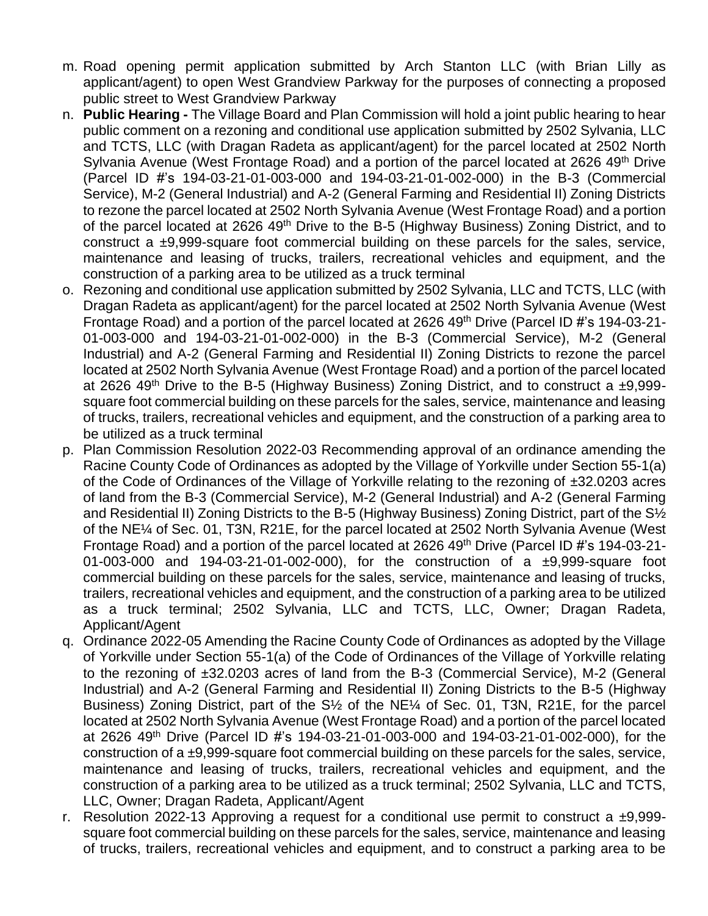- m. Road opening permit application submitted by Arch Stanton LLC (with Brian Lilly as applicant/agent) to open West Grandview Parkway for the purposes of connecting a proposed public street to West Grandview Parkway
- n. **Public Hearing -** The Village Board and Plan Commission will hold a joint public hearing to hear public comment on a rezoning and conditional use application submitted by 2502 Sylvania, LLC and TCTS, LLC (with Dragan Radeta as applicant/agent) for the parcel located at 2502 North Sylvania Avenue (West Frontage Road) and a portion of the parcel located at 2626 49<sup>th</sup> Drive (Parcel ID #'s 194-03-21-01-003-000 and 194-03-21-01-002-000) in the B-3 (Commercial Service), M-2 (General Industrial) and A-2 (General Farming and Residential II) Zoning Districts to rezone the parcel located at 2502 North Sylvania Avenue (West Frontage Road) and a portion of the parcel located at 2626 49<sup>th</sup> Drive to the B-5 (Highway Business) Zoning District, and to construct a ±9,999-square foot commercial building on these parcels for the sales, service, maintenance and leasing of trucks, trailers, recreational vehicles and equipment, and the construction of a parking area to be utilized as a truck terminal
- o. Rezoning and conditional use application submitted by 2502 Sylvania, LLC and TCTS, LLC (with Dragan Radeta as applicant/agent) for the parcel located at 2502 North Sylvania Avenue (West Frontage Road) and a portion of the parcel located at 2626 49th Drive (Parcel ID #'s 194-03-21- 01-003-000 and 194-03-21-01-002-000) in the B-3 (Commercial Service), M-2 (General Industrial) and A-2 (General Farming and Residential II) Zoning Districts to rezone the parcel located at 2502 North Sylvania Avenue (West Frontage Road) and a portion of the parcel located at 2626 49<sup>th</sup> Drive to the B-5 (Highway Business) Zoning District, and to construct a  $\pm 9.999$ square foot commercial building on these parcels for the sales, service, maintenance and leasing of trucks, trailers, recreational vehicles and equipment, and the construction of a parking area to be utilized as a truck terminal
- p. Plan Commission Resolution 2022-03 Recommending approval of an ordinance amending the Racine County Code of Ordinances as adopted by the Village of Yorkville under Section 55-1(a) of the Code of Ordinances of the Village of Yorkville relating to the rezoning of ±32.0203 acres of land from the B-3 (Commercial Service), M-2 (General Industrial) and A-2 (General Farming and Residential II) Zoning Districts to the B-5 (Highway Business) Zoning District, part of the S½ of the NE¼ of Sec. 01, T3N, R21E, for the parcel located at 2502 North Sylvania Avenue (West Frontage Road) and a portion of the parcel located at 2626 49th Drive (Parcel ID #'s 194-03-21- 01-003-000 and 194-03-21-01-002-000), for the construction of a ±9,999-square foot commercial building on these parcels for the sales, service, maintenance and leasing of trucks, trailers, recreational vehicles and equipment, and the construction of a parking area to be utilized as a truck terminal; 2502 Sylvania, LLC and TCTS, LLC, Owner; Dragan Radeta, Applicant/Agent
- q. Ordinance 2022-05 Amending the Racine County Code of Ordinances as adopted by the Village of Yorkville under Section 55-1(a) of the Code of Ordinances of the Village of Yorkville relating to the rezoning of ±32.0203 acres of land from the B-3 (Commercial Service), M-2 (General Industrial) and A-2 (General Farming and Residential II) Zoning Districts to the B-5 (Highway Business) Zoning District, part of the S½ of the NE¼ of Sec. 01, T3N, R21E, for the parcel located at 2502 North Sylvania Avenue (West Frontage Road) and a portion of the parcel located at 2626 49th Drive (Parcel ID #'s 194-03-21-01-003-000 and 194-03-21-01-002-000), for the construction of a ±9,999-square foot commercial building on these parcels for the sales, service, maintenance and leasing of trucks, trailers, recreational vehicles and equipment, and the construction of a parking area to be utilized as a truck terminal; 2502 Sylvania, LLC and TCTS, LLC, Owner; Dragan Radeta, Applicant/Agent
- r. Resolution 2022-13 Approving a request for a conditional use permit to construct a  $\pm 9.999$ square foot commercial building on these parcels for the sales, service, maintenance and leasing of trucks, trailers, recreational vehicles and equipment, and to construct a parking area to be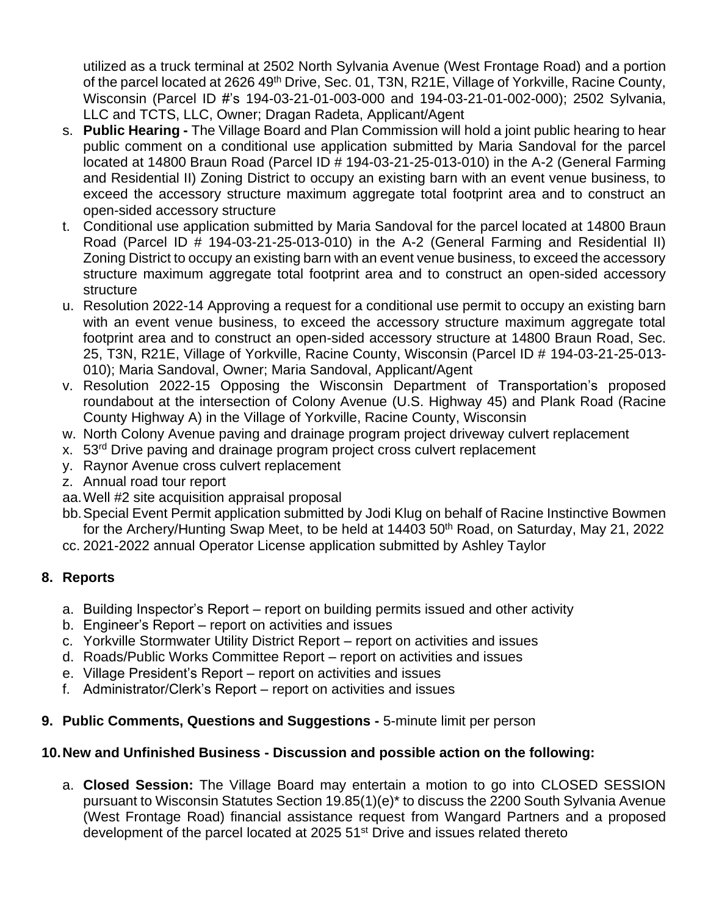utilized as a truck terminal at 2502 North Sylvania Avenue (West Frontage Road) and a portion of the parcel located at 2626 49<sup>th</sup> Drive, Sec. 01, T3N, R21E, Village of Yorkville, Racine County, Wisconsin (Parcel ID #'s 194-03-21-01-003-000 and 194-03-21-01-002-000); 2502 Sylvania, LLC and TCTS, LLC, Owner; Dragan Radeta, Applicant/Agent

- s. **Public Hearing -** The Village Board and Plan Commission will hold a joint public hearing to hear public comment on a conditional use application submitted by Maria Sandoval for the parcel located at 14800 Braun Road (Parcel ID # 194-03-21-25-013-010) in the A-2 (General Farming and Residential II) Zoning District to occupy an existing barn with an event venue business, to exceed the accessory structure maximum aggregate total footprint area and to construct an open-sided accessory structure
- t. Conditional use application submitted by Maria Sandoval for the parcel located at 14800 Braun Road (Parcel ID # 194-03-21-25-013-010) in the A-2 (General Farming and Residential II) Zoning District to occupy an existing barn with an event venue business, to exceed the accessory structure maximum aggregate total footprint area and to construct an open-sided accessory structure
- u. Resolution 2022-14 Approving a request for a conditional use permit to occupy an existing barn with an event venue business, to exceed the accessory structure maximum aggregate total footprint area and to construct an open-sided accessory structure at 14800 Braun Road, Sec. 25, T3N, R21E, Village of Yorkville, Racine County, Wisconsin (Parcel ID # 194-03-21-25-013- 010); Maria Sandoval, Owner; Maria Sandoval, Applicant/Agent
- v. Resolution 2022-15 Opposing the Wisconsin Department of Transportation's proposed roundabout at the intersection of Colony Avenue (U.S. Highway 45) and Plank Road (Racine County Highway A) in the Village of Yorkville, Racine County, Wisconsin
- w. North Colony Avenue paving and drainage program project driveway culvert replacement
- x. 53<sup>rd</sup> Drive paving and drainage program project cross culvert replacement
- y. Raynor Avenue cross culvert replacement
- z. Annual road tour report
- aa.Well #2 site acquisition appraisal proposal
- bb.Special Event Permit application submitted by Jodi Klug on behalf of Racine Instinctive Bowmen for the Archery/Hunting Swap Meet, to be held at  $14403\,50$ <sup>th</sup> Road, on Saturday, May 21, 2022
- cc. 2021-2022 annual Operator License application submitted by Ashley Taylor

# **8. Reports**

- a. Building Inspector's Report report on building permits issued and other activity
- b. Engineer's Report report on activities and issues
- c. Yorkville Stormwater Utility District Report report on activities and issues
- d. Roads/Public Works Committee Report report on activities and issues
- e. Village President's Report report on activities and issues
- f. Administrator/Clerk's Report report on activities and issues
- **9. Public Comments, Questions and Suggestions -** 5-minute limit per person

# **10.New and Unfinished Business - Discussion and possible action on the following:**

a. **Closed Session:** The Village Board may entertain a motion to go into CLOSED SESSION pursuant to Wisconsin Statutes Section 19.85(1)(e)\* to discuss the 2200 South Sylvania Avenue (West Frontage Road) financial assistance request from Wangard Partners and a proposed development of the parcel located at 2025 51st Drive and issues related thereto